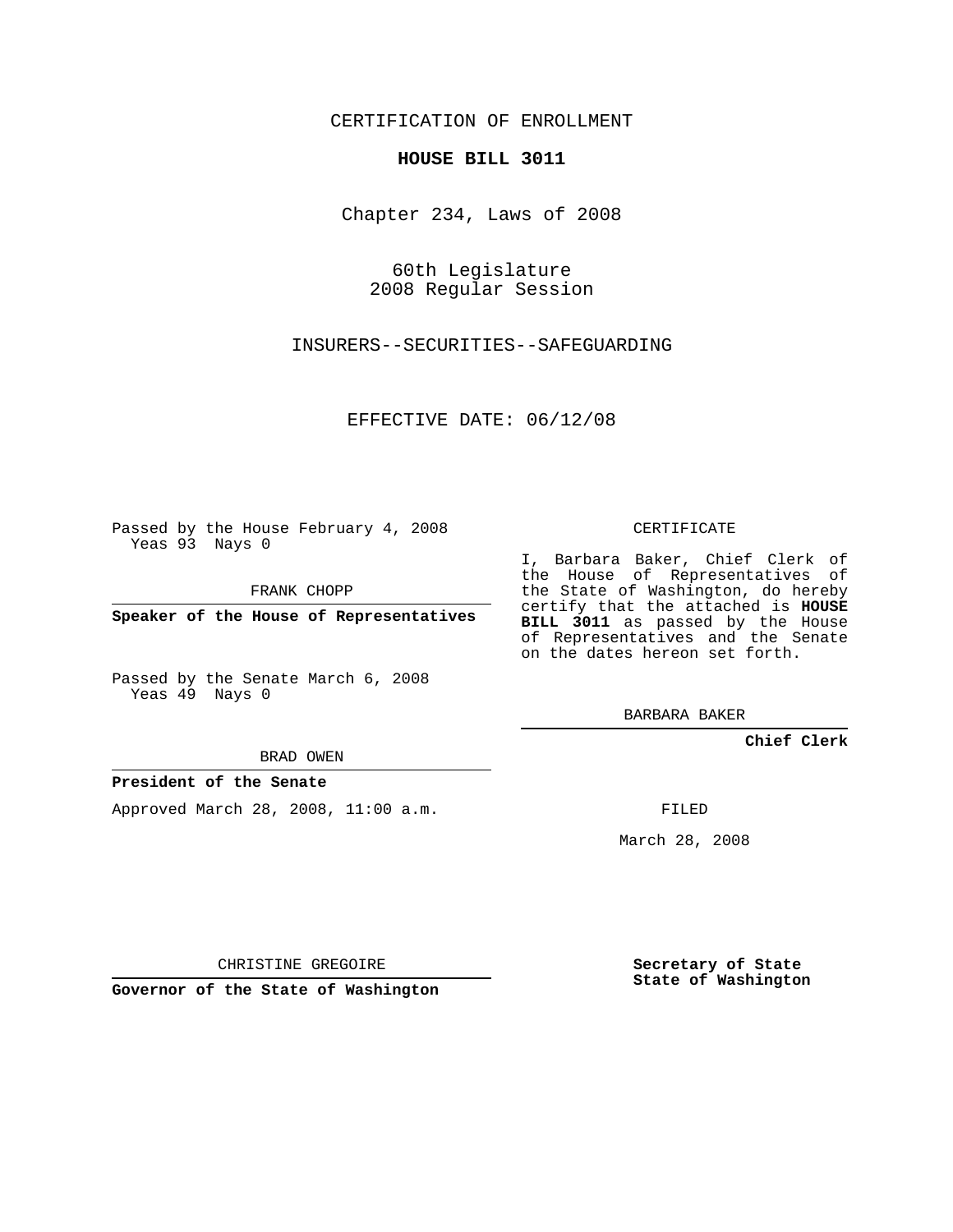CERTIFICATION OF ENROLLMENT

#### **HOUSE BILL 3011**

Chapter 234, Laws of 2008

60th Legislature 2008 Regular Session

INSURERS--SECURITIES--SAFEGUARDING

EFFECTIVE DATE: 06/12/08

Passed by the House February 4, 2008 Yeas 93 Nays 0

FRANK CHOPP

**Speaker of the House of Representatives**

Passed by the Senate March 6, 2008 Yeas 49 Nays 0

BRAD OWEN

**President of the Senate**

Approved March 28, 2008, 11:00 a.m.

CERTIFICATE

I, Barbara Baker, Chief Clerk of the House of Representatives of the State of Washington, do hereby certify that the attached is **HOUSE BILL 3011** as passed by the House of Representatives and the Senate on the dates hereon set forth.

BARBARA BAKER

**Chief Clerk**

FILED

March 28, 2008

CHRISTINE GREGOIRE

**Governor of the State of Washington**

**Secretary of State State of Washington**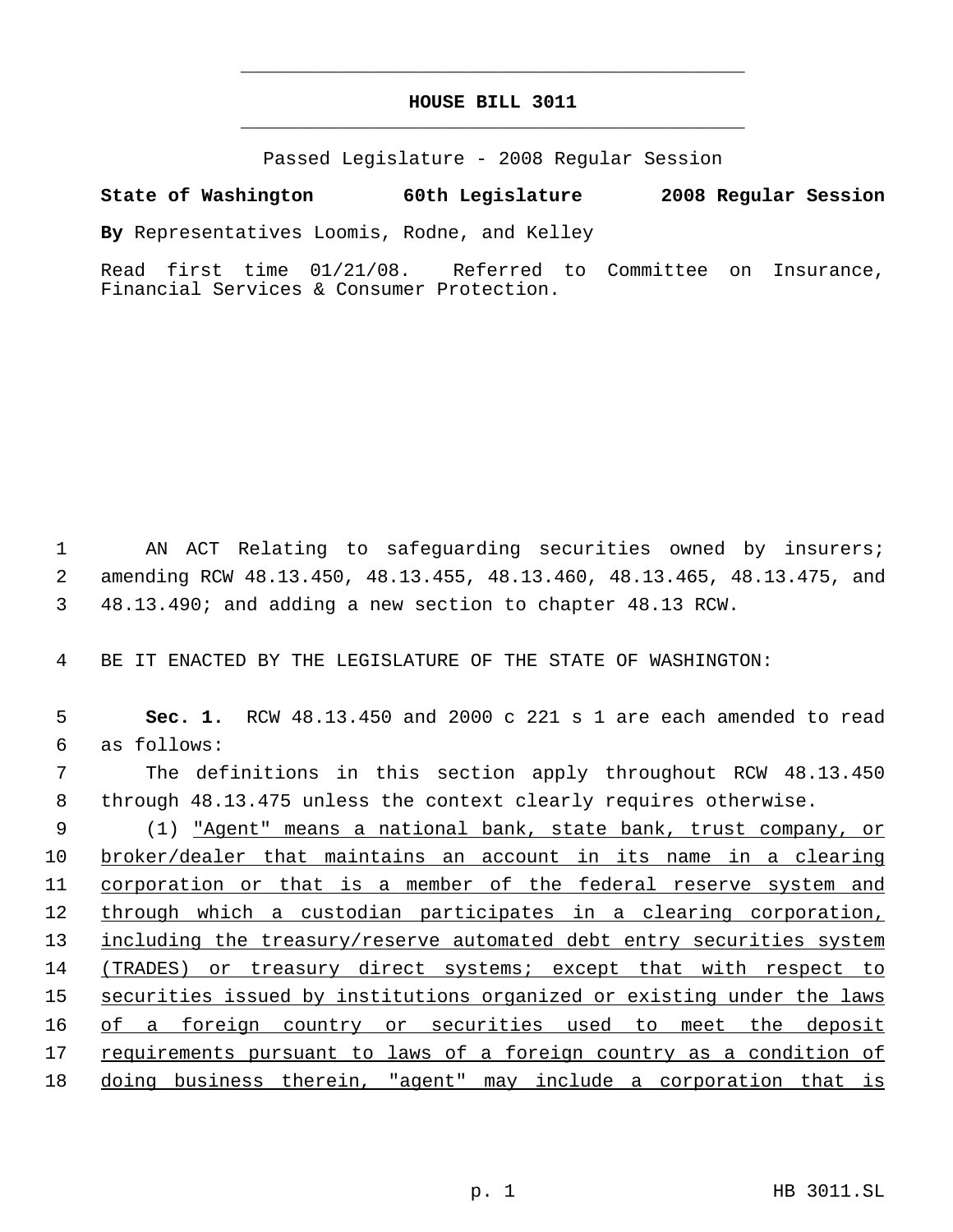## **HOUSE BILL 3011** \_\_\_\_\_\_\_\_\_\_\_\_\_\_\_\_\_\_\_\_\_\_\_\_\_\_\_\_\_\_\_\_\_\_\_\_\_\_\_\_\_\_\_\_\_

\_\_\_\_\_\_\_\_\_\_\_\_\_\_\_\_\_\_\_\_\_\_\_\_\_\_\_\_\_\_\_\_\_\_\_\_\_\_\_\_\_\_\_\_\_

Passed Legislature - 2008 Regular Session

### **State of Washington 60th Legislature 2008 Regular Session**

**By** Representatives Loomis, Rodne, and Kelley

Read first time 01/21/08. Referred to Committee on Insurance, Financial Services & Consumer Protection.

 1 AN ACT Relating to safeguarding securities owned by insurers; 2 amending RCW 48.13.450, 48.13.455, 48.13.460, 48.13.465, 48.13.475, and 3 48.13.490; and adding a new section to chapter 48.13 RCW.

4 BE IT ENACTED BY THE LEGISLATURE OF THE STATE OF WASHINGTON:

 5 **Sec. 1.** RCW 48.13.450 and 2000 c 221 s 1 are each amended to read 6 as follows: 7 The definitions in this section apply throughout RCW 48.13.450 8 through 48.13.475 unless the context clearly requires otherwise. 9 (1) "Agent" means a national bank, state bank, trust company, or 10 broker/dealer that maintains an account in its name in a clearing 11 corporation or that is a member of the federal reserve system and 12 through which a custodian participates in a clearing corporation, 13 including the treasury/reserve automated debt entry securities system 14 (TRADES) or treasury direct systems; except that with respect to 15 securities issued by institutions organized or existing under the laws 16 of a foreign country or securities used to meet the deposit 17 requirements pursuant to laws of a foreign country as a condition of 18 doing business therein, "agent" may include a corporation that is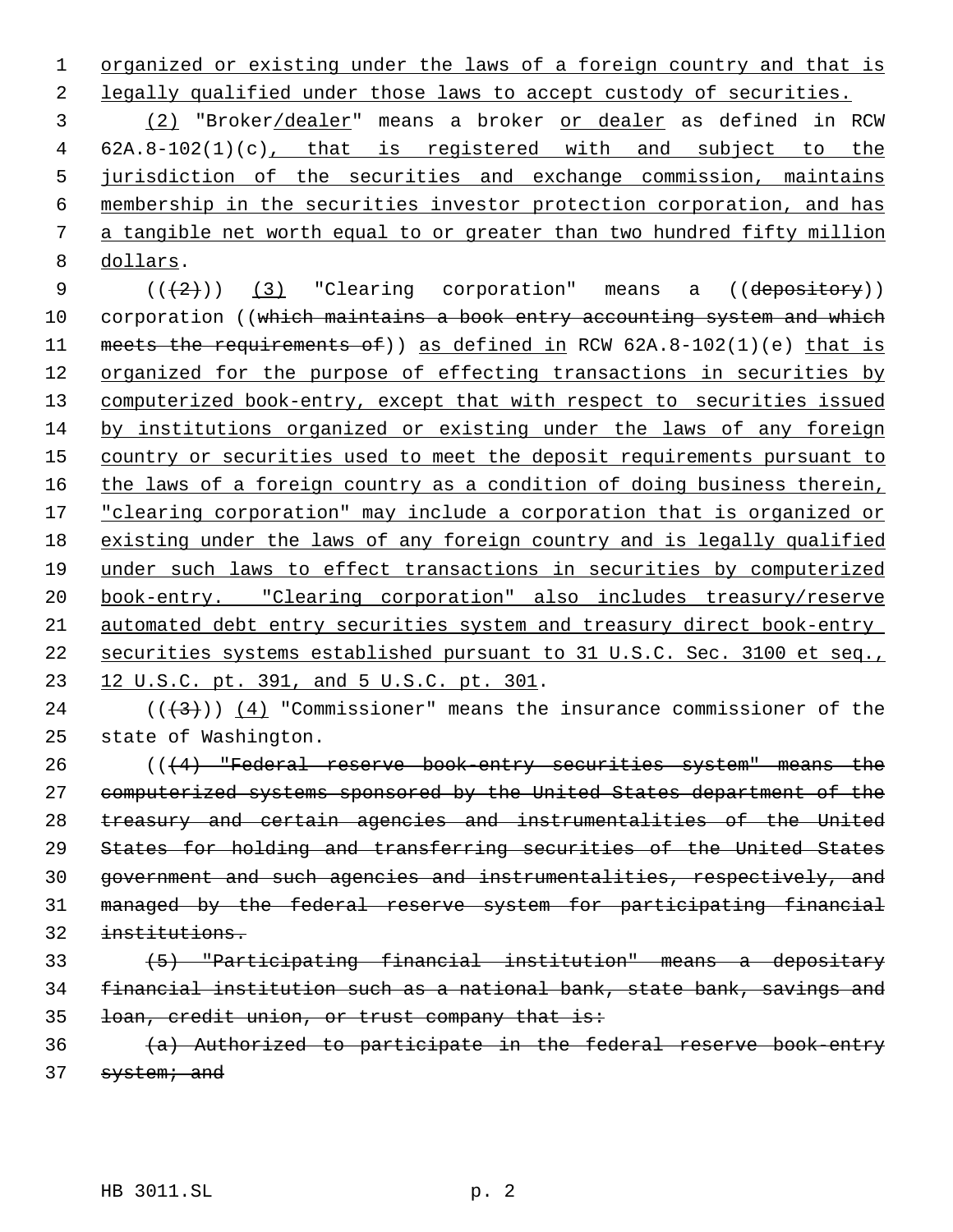1 organized or existing under the laws of a foreign country and that is 2 legally qualified under those laws to accept custody of securities.

 (2) "Broker/dealer" means a broker or dealer as defined in RCW 62A.8-102(1)(c), that is registered with and subject to the jurisdiction of the securities and exchange commission, maintains membership in the securities investor protection corporation, and has a tangible net worth equal to or greater than two hundred fifty million dollars.

9  $((+2))$   $(3)$  "Clearing corporation" means a  $((de$ pository)) 10 corporation ((which maintains a book entry accounting system and which 11 meets the requirements of)) as defined in RCW 62A.8-102(1)(e) that is 12 organized for the purpose of effecting transactions in securities by computerized book-entry, except that with respect to securities issued by institutions organized or existing under the laws of any foreign 15 country or securities used to meet the deposit requirements pursuant to 16 the laws of a foreign country as a condition of doing business therein, 17 "clearing corporation" may include a corporation that is organized or existing under the laws of any foreign country and is legally qualified under such laws to effect transactions in securities by computerized book-entry. "Clearing corporation" also includes treasury/reserve automated debt entry securities system and treasury direct book-entry securities systems established pursuant to 31 U.S.C. Sec. 3100 et seq., 23 12 U.S.C. pt. 391, and 5 U.S.C. pt. 301.

24 ( $(\frac{43}{})$ ) (4) "Commissioner" means the insurance commissioner of the state of Washington.

 (((4) "Federal reserve book-entry securities system" means the computerized systems sponsored by the United States department of the treasury and certain agencies and instrumentalities of the United States for holding and transferring securities of the United States government and such agencies and instrumentalities, respectively, and managed by the federal reserve system for participating financial institutions.

# (5) "Participating financial institution" means a depositary financial institution such as a national bank, state bank, savings and loan, credit union, or trust company that is:

 (a) Authorized to participate in the federal reserve book-entry 37 system; and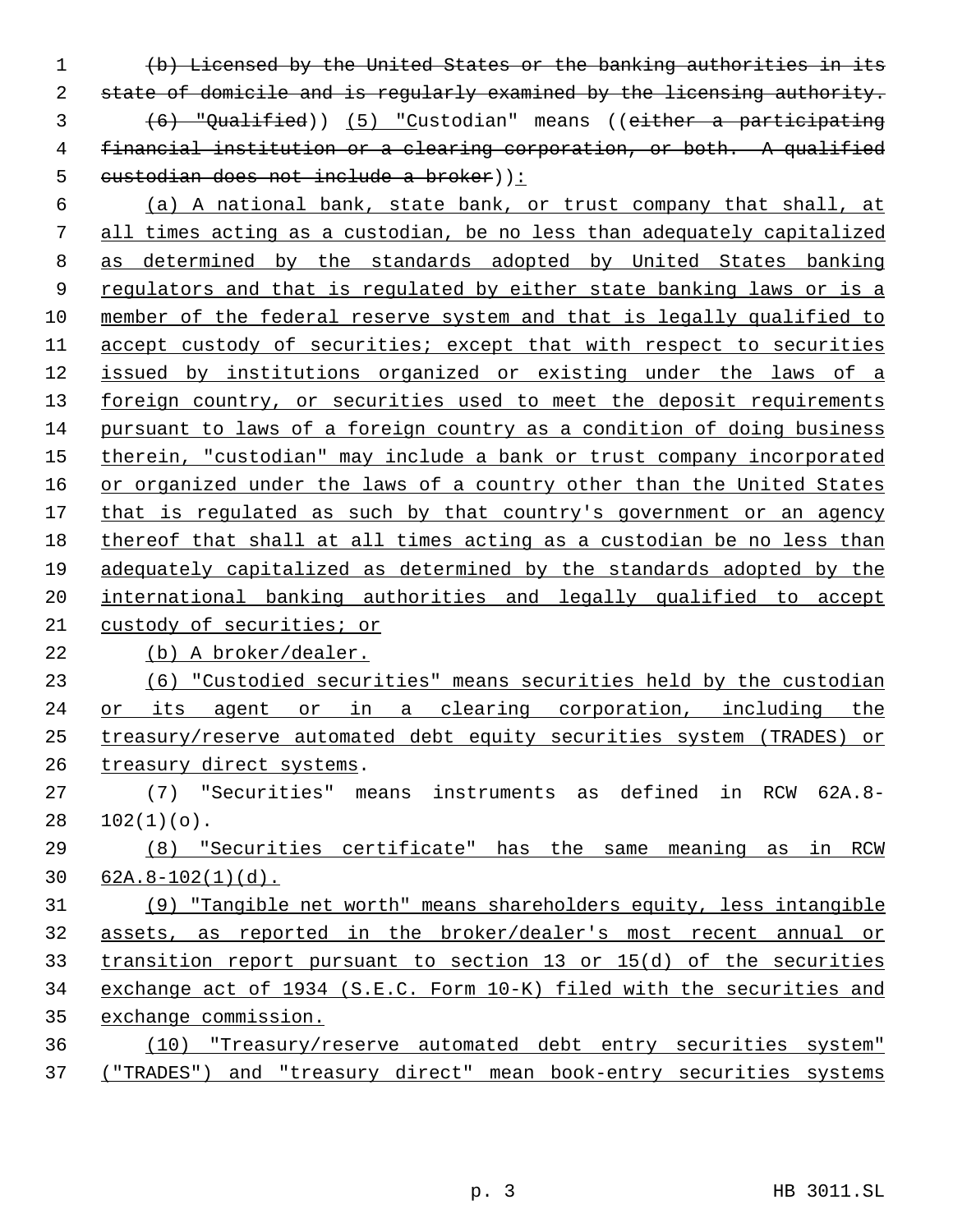(b) Licensed by the United States or the banking authorities in its state of domicile and is regularly examined by the licensing authority. (6) "Qualified)) (5) "Custodian" means ((either a participating financial institution or a clearing corporation, or both. A qualified 5 custodian does not include a broker)):

 (a) A national bank, state bank, or trust company that shall, at all times acting as a custodian, be no less than adequately capitalized as determined by the standards adopted by United States banking 9 regulators and that is regulated by either state banking laws or is a member of the federal reserve system and that is legally qualified to accept custody of securities; except that with respect to securities issued by institutions organized or existing under the laws of a 13 foreign country, or securities used to meet the deposit requirements pursuant to laws of a foreign country as a condition of doing business 15 therein, "custodian" may include a bank or trust company incorporated 16 or organized under the laws of a country other than the United States 17 that is regulated as such by that country's government or an agency thereof that shall at all times acting as a custodian be no less than adequately capitalized as determined by the standards adopted by the international banking authorities and legally qualified to accept custody of securities; or

(b) A broker/dealer.

 (6) "Custodied securities" means securities held by the custodian or its agent or in a clearing corporation, including the treasury/reserve automated debt equity securities system (TRADES) or treasury direct systems.

 (7) "Securities" means instruments as defined in RCW 62A.8-  $28 102(1)(o)$ .

 (8) "Securities certificate" has the same meaning as in RCW 62A.8-102(1)(d).

 (9) "Tangible net worth" means shareholders equity, less intangible assets, as reported in the broker/dealer's most recent annual or transition report pursuant to section 13 or 15(d) of the securities exchange act of 1934 (S.E.C. Form 10-K) filed with the securities and exchange commission.

 (10) "Treasury/reserve automated debt entry securities system" ("TRADES") and "treasury direct" mean book-entry securities systems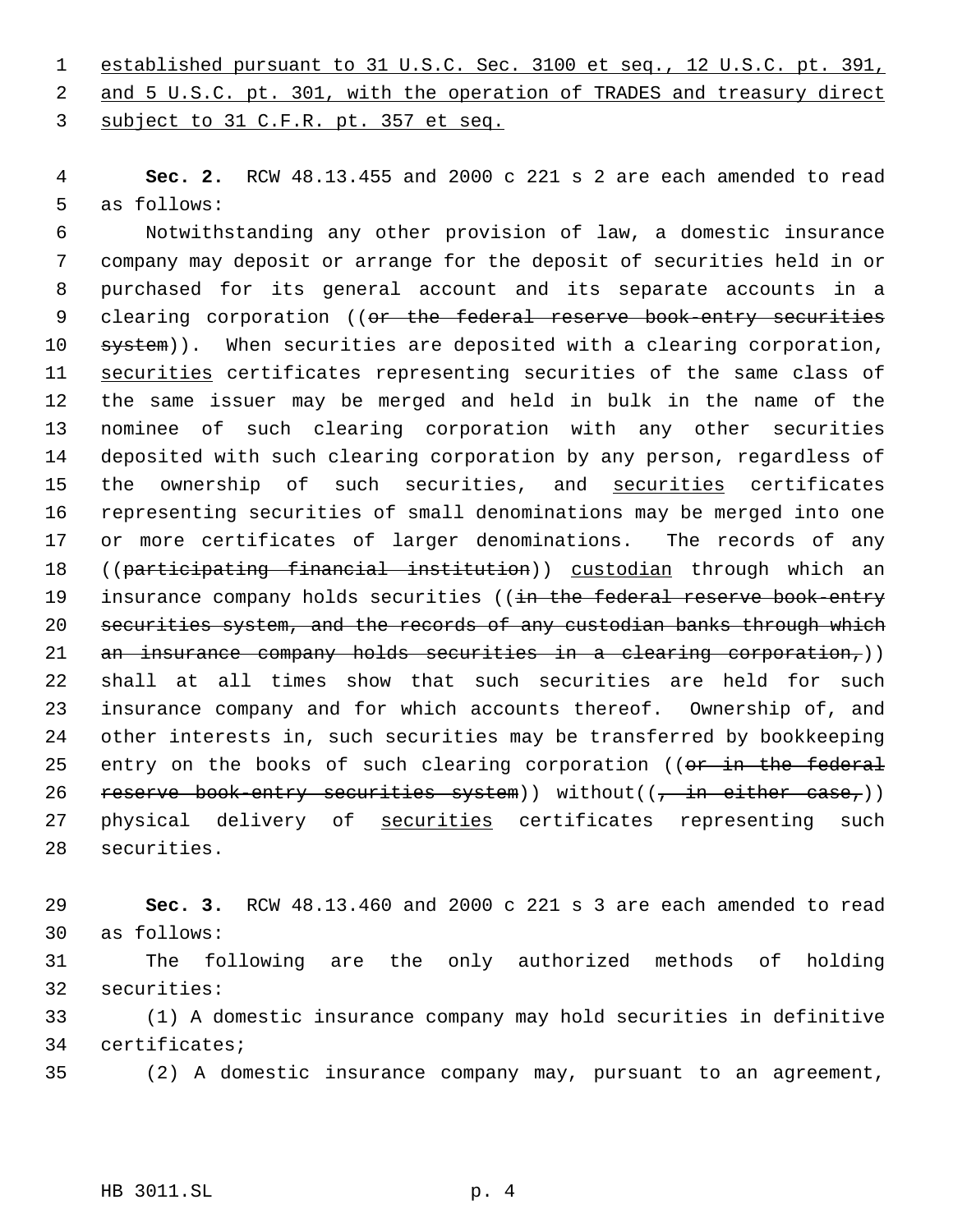1 established pursuant to 31 U.S.C. Sec. 3100 et seq., 12 U.S.C. pt. 391, 2 and 5 U.S.C. pt. 301, with the operation of TRADES and treasury direct subject to 31 C.F.R. pt. 357 et seq.

 **Sec. 2.** RCW 48.13.455 and 2000 c 221 s 2 are each amended to read as follows:

 Notwithstanding any other provision of law, a domestic insurance company may deposit or arrange for the deposit of securities held in or purchased for its general account and its separate accounts in a 9 clearing corporation ((or the federal reserve book entry securities 10 system)). When securities are deposited with a clearing corporation, 11 securities certificates representing securities of the same class of the same issuer may be merged and held in bulk in the name of the nominee of such clearing corporation with any other securities deposited with such clearing corporation by any person, regardless of 15 the ownership of such securities, and securities certificates representing securities of small denominations may be merged into one or more certificates of larger denominations. The records of any 18 ((participating financial institution)) custodian through which an 19 insurance company holds securities ((in the federal reserve book-entry securities system, and the records of any custodian banks through which 21 an insurance company holds securities in a clearing corporation,)) shall at all times show that such securities are held for such insurance company and for which accounts thereof. Ownership of, and other interests in, such securities may be transferred by bookkeeping 25 entry on the books of such clearing corporation ((or in the federal 26 reserve book-entry securities system)) without( $(\tau$  in either case,)) 27 physical delivery of securities certificates representing such securities.

 **Sec. 3.** RCW 48.13.460 and 2000 c 221 s 3 are each amended to read as follows:

 The following are the only authorized methods of holding securities:

 (1) A domestic insurance company may hold securities in definitive certificates;

(2) A domestic insurance company may, pursuant to an agreement,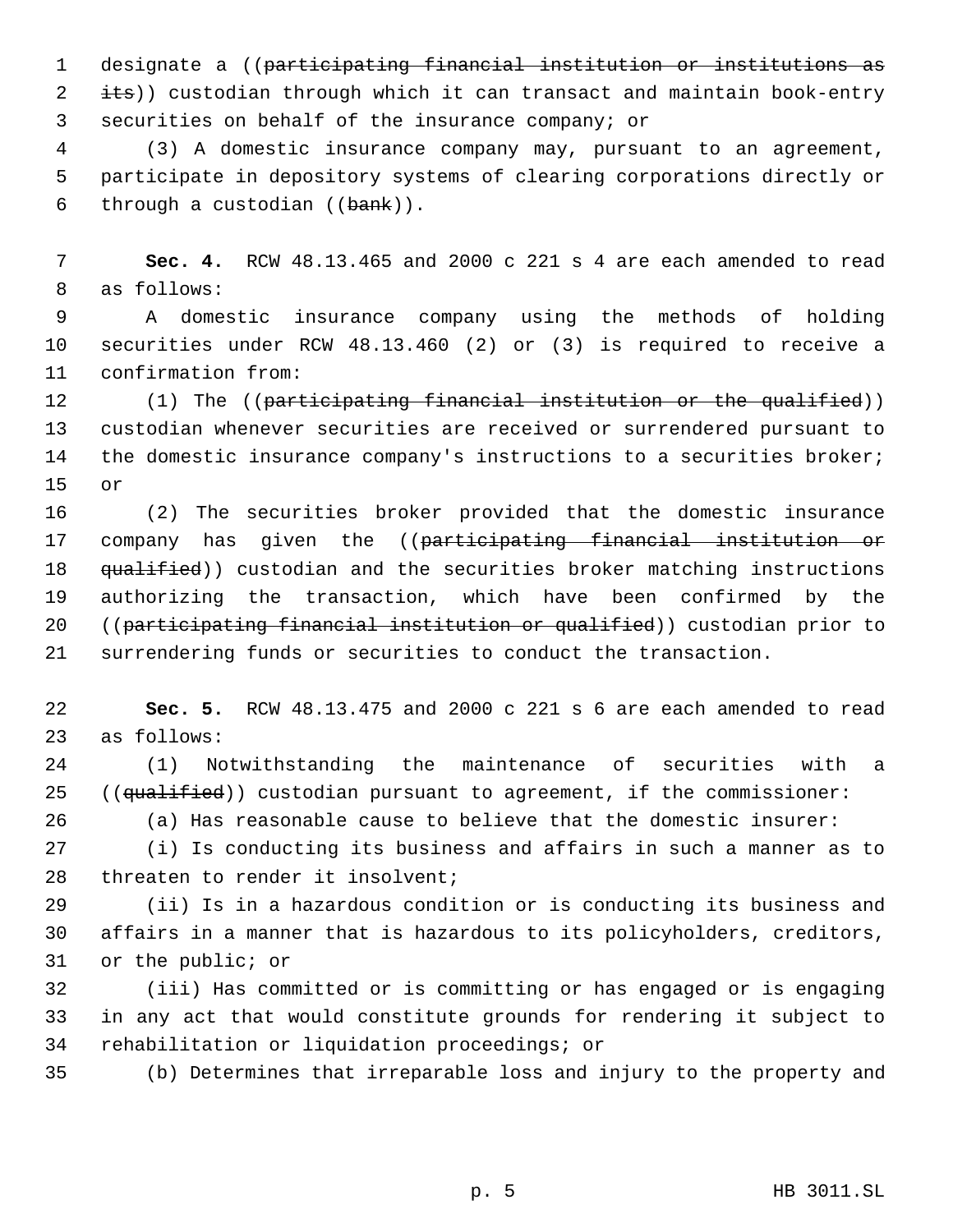designate a ((participating financial institution or institutions as 2 its)) custodian through which it can transact and maintain book-entry securities on behalf of the insurance company; or

 (3) A domestic insurance company may, pursuant to an agreement, participate in depository systems of clearing corporations directly or 6 through a custodian  $((\text{bank}))$ .

 **Sec. 4.** RCW 48.13.465 and 2000 c 221 s 4 are each amended to read as follows:

 A domestic insurance company using the methods of holding securities under RCW 48.13.460 (2) or (3) is required to receive a confirmation from:

 (1) The ((participating financial institution or the qualified)) custodian whenever securities are received or surrendered pursuant to 14 the domestic insurance company's instructions to a securities broker; or

 (2) The securities broker provided that the domestic insurance 17 company has given the ((participating financial institution or 18 <del>qualified</del>)) custodian and the securities broker matching instructions authorizing the transaction, which have been confirmed by the 20 ((participating financial institution or qualified)) custodian prior to surrendering funds or securities to conduct the transaction.

 **Sec. 5.** RCW 48.13.475 and 2000 c 221 s 6 are each amended to read as follows:

 (1) Notwithstanding the maintenance of securities with a 25 (( $qualified$ )) custodian pursuant to agreement, if the commissioner:

(a) Has reasonable cause to believe that the domestic insurer:

 (i) Is conducting its business and affairs in such a manner as to 28 threaten to render it insolvent;

 (ii) Is in a hazardous condition or is conducting its business and affairs in a manner that is hazardous to its policyholders, creditors, or the public; or

 (iii) Has committed or is committing or has engaged or is engaging in any act that would constitute grounds for rendering it subject to rehabilitation or liquidation proceedings; or

(b) Determines that irreparable loss and injury to the property and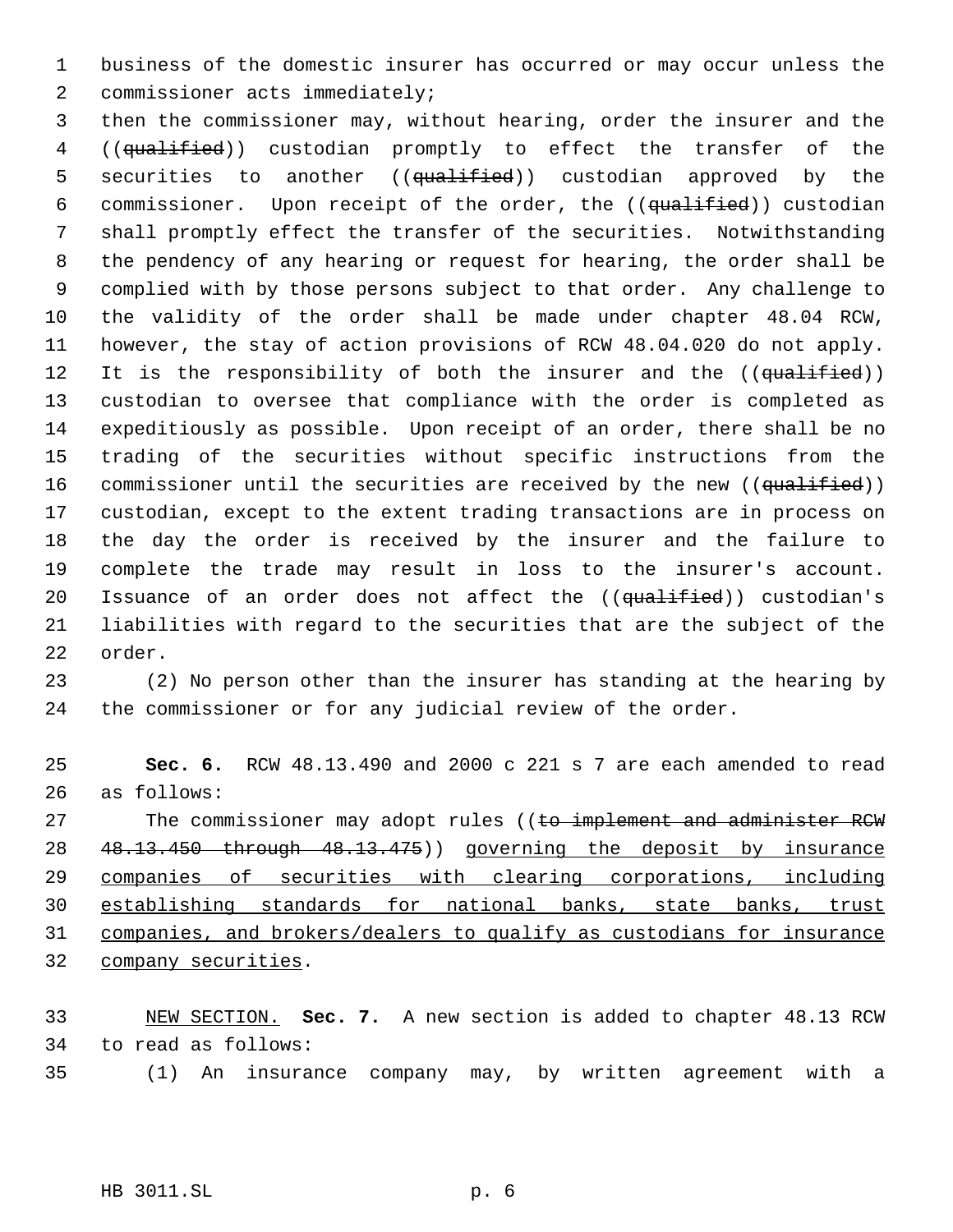business of the domestic insurer has occurred or may occur unless the commissioner acts immediately;

 then the commissioner may, without hearing, order the insurer and the ((qualified)) custodian promptly to effect the transfer of the 5 securities to another ((qualified)) custodian approved by the 6 commissioner. Upon receipt of the order, the ((qualified)) custodian shall promptly effect the transfer of the securities. Notwithstanding the pendency of any hearing or request for hearing, the order shall be complied with by those persons subject to that order. Any challenge to the validity of the order shall be made under chapter 48.04 RCW, however, the stay of action provisions of RCW 48.04.020 do not apply. 12 It is the responsibility of both the insurer and the ((qualified)) custodian to oversee that compliance with the order is completed as expeditiously as possible. Upon receipt of an order, there shall be no trading of the securities without specific instructions from the 16 commissioner until the securities are received by the new ((qualified)) custodian, except to the extent trading transactions are in process on the day the order is received by the insurer and the failure to complete the trade may result in loss to the insurer's account. 20 Issuance of an order does not affect the ((qualified)) custodian's liabilities with regard to the securities that are the subject of the order.

 (2) No person other than the insurer has standing at the hearing by the commissioner or for any judicial review of the order.

 **Sec. 6.** RCW 48.13.490 and 2000 c 221 s 7 are each amended to read as follows:

27 The commissioner may adopt rules ((to implement and administer RCW 28 48.13.450 through 48.13.475)) governing the deposit by insurance companies of securities with clearing corporations, including establishing standards for national banks, state banks, trust companies, and brokers/dealers to qualify as custodians for insurance company securities.

 NEW SECTION. **Sec. 7.** A new section is added to chapter 48.13 RCW to read as follows:

(1) An insurance company may, by written agreement with a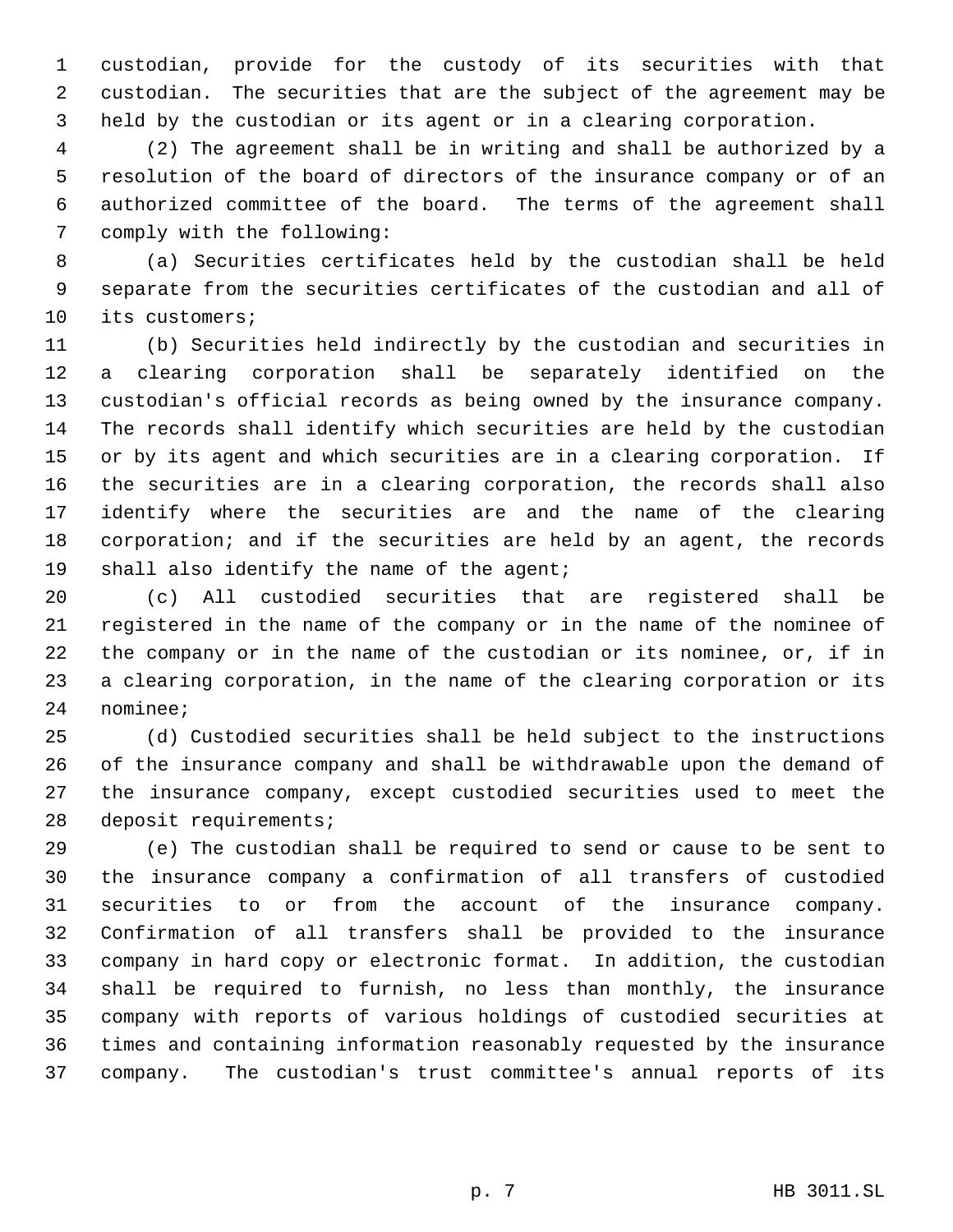custodian, provide for the custody of its securities with that custodian. The securities that are the subject of the agreement may be held by the custodian or its agent or in a clearing corporation.

 (2) The agreement shall be in writing and shall be authorized by a resolution of the board of directors of the insurance company or of an authorized committee of the board. The terms of the agreement shall comply with the following:

 (a) Securities certificates held by the custodian shall be held separate from the securities certificates of the custodian and all of its customers;

 (b) Securities held indirectly by the custodian and securities in a clearing corporation shall be separately identified on the custodian's official records as being owned by the insurance company. The records shall identify which securities are held by the custodian or by its agent and which securities are in a clearing corporation. If the securities are in a clearing corporation, the records shall also identify where the securities are and the name of the clearing corporation; and if the securities are held by an agent, the records 19 shall also identify the name of the agent;

 (c) All custodied securities that are registered shall be registered in the name of the company or in the name of the nominee of the company or in the name of the custodian or its nominee, or, if in a clearing corporation, in the name of the clearing corporation or its nominee;

 (d) Custodied securities shall be held subject to the instructions of the insurance company and shall be withdrawable upon the demand of the insurance company, except custodied securities used to meet the deposit requirements;

 (e) The custodian shall be required to send or cause to be sent to the insurance company a confirmation of all transfers of custodied securities to or from the account of the insurance company. Confirmation of all transfers shall be provided to the insurance company in hard copy or electronic format. In addition, the custodian shall be required to furnish, no less than monthly, the insurance company with reports of various holdings of custodied securities at times and containing information reasonably requested by the insurance company. The custodian's trust committee's annual reports of its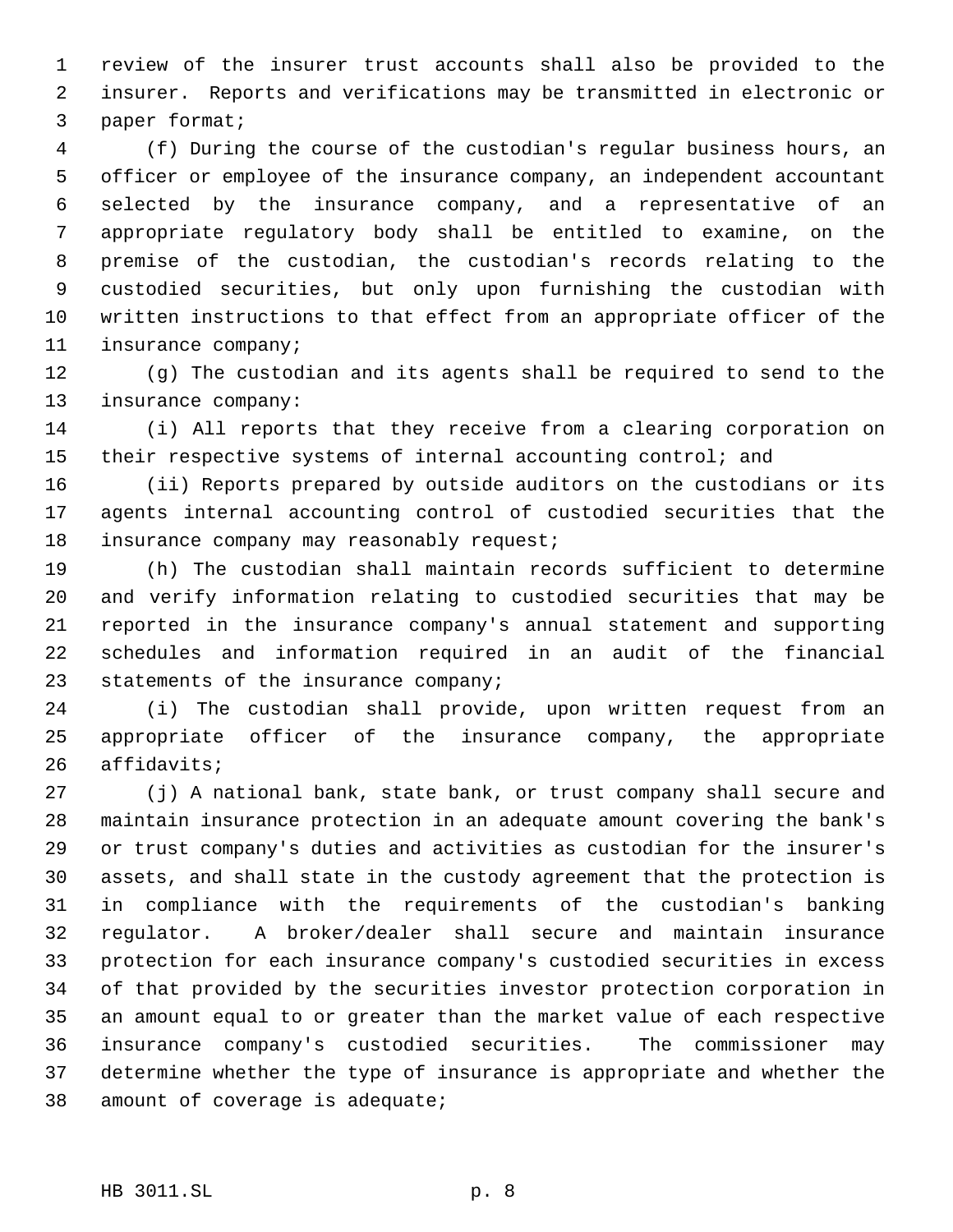review of the insurer trust accounts shall also be provided to the insurer. Reports and verifications may be transmitted in electronic or paper format;

 (f) During the course of the custodian's regular business hours, an officer or employee of the insurance company, an independent accountant selected by the insurance company, and a representative of an appropriate regulatory body shall be entitled to examine, on the premise of the custodian, the custodian's records relating to the custodied securities, but only upon furnishing the custodian with written instructions to that effect from an appropriate officer of the insurance company;

 (g) The custodian and its agents shall be required to send to the insurance company:

 (i) All reports that they receive from a clearing corporation on 15 their respective systems of internal accounting control; and

 (ii) Reports prepared by outside auditors on the custodians or its agents internal accounting control of custodied securities that the 18 insurance company may reasonably request;

 (h) The custodian shall maintain records sufficient to determine and verify information relating to custodied securities that may be reported in the insurance company's annual statement and supporting schedules and information required in an audit of the financial 23 statements of the insurance company;

 (i) The custodian shall provide, upon written request from an appropriate officer of the insurance company, the appropriate affidavits;

 (j) A national bank, state bank, or trust company shall secure and maintain insurance protection in an adequate amount covering the bank's or trust company's duties and activities as custodian for the insurer's assets, and shall state in the custody agreement that the protection is in compliance with the requirements of the custodian's banking regulator. A broker/dealer shall secure and maintain insurance protection for each insurance company's custodied securities in excess of that provided by the securities investor protection corporation in an amount equal to or greater than the market value of each respective insurance company's custodied securities. The commissioner may determine whether the type of insurance is appropriate and whether the amount of coverage is adequate;